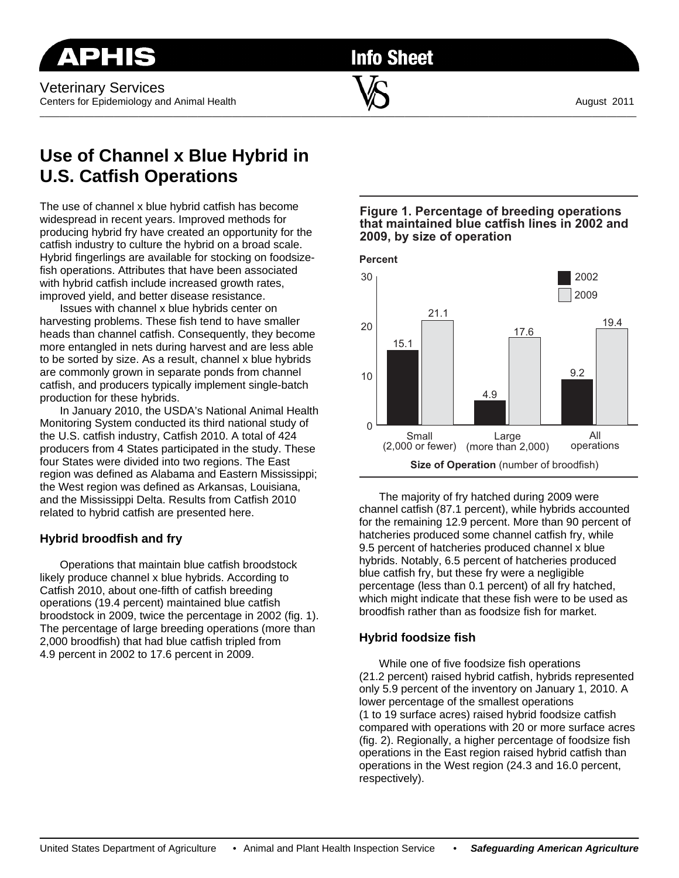**Info Sheet** 

 $\overline{\phantom{a}}$  , and the contribution of the contribution of  $\overline{\phantom{a}}$  , and the contribution of  $\overline{\phantom{a}}$ 

# **Use of Channel x Blue Hybrid in U.S. Catfish Operations**

The use of channel x blue hybrid catfish has become widespread in recent years. Improved methods for producing hybrid fry have created an opportunity for the catfish industry to culture the hybrid on a broad scale. Hybrid fingerlings are available for stocking on foodsizefish operations. Attributes that have been associated with hybrid catfish include increased growth rates, improved yield, and better disease resistance.

 Issues with channel x blue hybrids center on harvesting problems. These fish tend to have smaller heads than channel catfish. Consequently, they become more entangled in nets during harvest and are less able to be sorted by size. As a result, channel x blue hybrids are commonly grown in separate ponds from channel catfish, and producers typically implement single-batch production for these hybrids.

 In January 2010, the USDA's National Animal Health Monitoring System conducted its third national study of the U.S. catfish industry, Catfish 2010. A total of 424 producers from 4 States participated in the study. These four States were divided into two regions. The East region was defined as Alabama and Eastern Mississippi; the West region was defined as Arkansas, Louisiana, and the Mississippi Delta. Results from Catfish 2010 related to hybrid catfish are presented here.

# **Hybrid broodfish and fry**

 Operations that maintain blue catfish broodstock likely produce channel x blue hybrids. According to Catfish 2010, about one-fifth of catfish breeding operations (19.4 percent) maintained blue catfish broodstock in 2009, twice the percentage in 2002 (fig. 1). The percentage of large breeding operations (more than 2,000 broodfish) that had blue catfish tripled from 4.9 percent in 2002 to 17.6 percent in 2009.

## **Figure 1. Percentage of breeding operations that maintained blue catfish lines in 2002 and 2009, by size of operation**



 The majority of fry hatched during 2009 were channel catfish (87.1 percent), while hybrids accounted for the remaining 12.9 percent. More than 90 percent of hatcheries produced some channel catfish fry, while 9.5 percent of hatcheries produced channel x blue hybrids. Notably, 6.5 percent of hatcheries produced blue catfish fry, but these fry were a negligible percentage (less than 0.1 percent) of all fry hatched, which might indicate that these fish were to be used as broodfish rather than as foodsize fish for market.

# **Hybrid foodsize fish**

 While one of five foodsize fish operations (21.2 percent) raised hybrid catfish, hybrids represented only 5.9 percent of the inventory on January 1, 2010. A lower percentage of the smallest operations (1 to 19 surface acres) raised hybrid foodsize catfish compared with operations with 20 or more surface acres (fig. 2). Regionally, a higher percentage of foodsize fish operations in the East region raised hybrid catfish than operations in the West region (24.3 and 16.0 percent, respectively).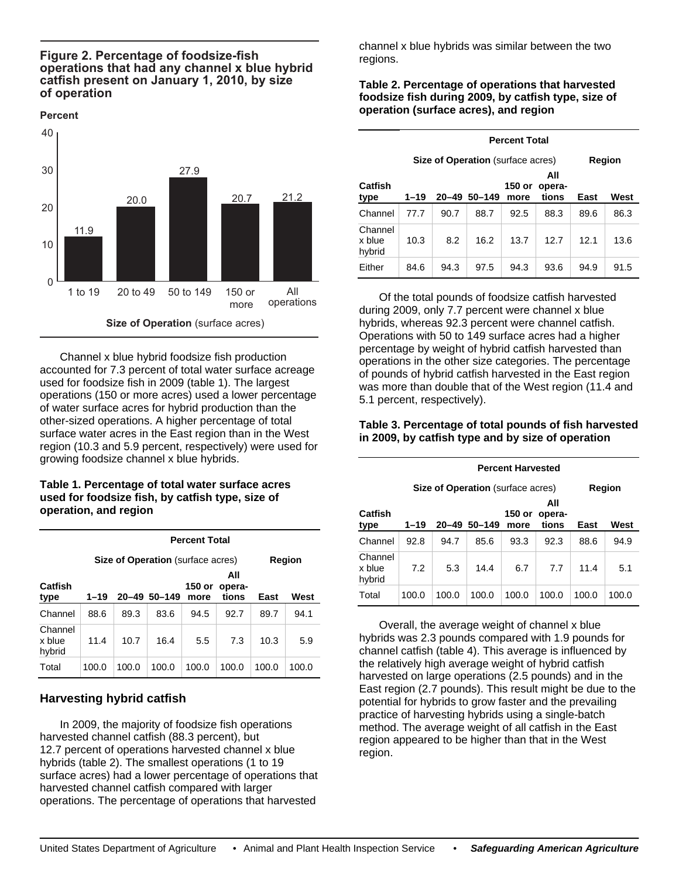#### **Figure 2. Percentage of foodsize-fish operations that had any channel x blue hybrid catfish present on January 1, 2010, by size of operation**

#### **Percent**



 Channel x blue hybrid foodsize fish production accounted for 7.3 percent of total water surface acreage used for foodsize fish in 2009 (table 1). The largest operations (150 or more acres) used a lower percentage of water surface acres for hybrid production than the other-sized operations. A higher percentage of total surface water acres in the East region than in the West region (10.3 and 5.9 percent, respectively) were used for growing foodsize channel x blue hybrids.

#### **Table 1. Percentage of total water surface acres used for foodsize fish, by catfish type, size of operation, and region**

|                             | <b>Percent Total</b> |       |                                          |                |                        |       |       |  |
|-----------------------------|----------------------|-------|------------------------------------------|----------------|------------------------|-------|-------|--|
|                             |                      |       | <b>Size of Operation</b> (surface acres) | Region         |                        |       |       |  |
| Catfish<br>type             | 1–19                 |       | 20-49 50-149                             | 150 or<br>more | All<br>opera-<br>tions | East  | West  |  |
| Channel                     | 88.6                 | 89.3  | 83.6                                     | 94.5           | 92.7                   | 89.7  | 94.1  |  |
| Channel<br>x blue<br>hybrid | 11.4                 | 10.7  | 16.4                                     | 5.5            | 7.3                    | 10.3  | 5.9   |  |
| Total                       | 100.0                | 100.0 | 100.0                                    | 100.0          | 100.0                  | 100.0 | 100.0 |  |

# **Harvesting hybrid catfish**

 In 2009, the majority of foodsize fish operations harvested channel catfish (88.3 percent), but 12.7 percent of operations harvested channel x blue hybrids (table 2). The smallest operations (1 to 19 surface acres) had a lower percentage of operations that harvested channel catfish compared with larger operations. The percentage of operations that harvested

channel x blue hybrids was similar between the two regions.

### **Table 2. Percentage of operations that harvested foodsize fish during 2009, by catfish type, size of operation (surface acres), and region**

|                             | <b>Percent Total</b> |                                          |            |                |                        |      |        |  |
|-----------------------------|----------------------|------------------------------------------|------------|----------------|------------------------|------|--------|--|
|                             |                      | <b>Size of Operation</b> (surface acres) |            |                |                        |      | Region |  |
| Catfish<br>type             | 1–19                 | $20 - 49$                                | $50 - 149$ | 150 or<br>more | All<br>opera-<br>tions | East | West   |  |
| Channel                     | 77.7                 | 90.7                                     | 88.7       | 92.5           | 88.3                   | 89.6 | 86.3   |  |
| Channel<br>x blue<br>hybrid | 10.3                 | 8.2                                      | 16.2       | 13.7           | 12.7                   | 12.1 | 13.6   |  |
| Either                      | 84.6                 | 94.3                                     | 97.5       | 94.3           | 93.6                   | 94.9 | 91.5   |  |

 Of the total pounds of foodsize catfish harvested during 2009, only 7.7 percent were channel x blue hybrids, whereas 92.3 percent were channel catfish. Operations with 50 to 149 surface acres had a higher percentage by weight of hybrid catfish harvested than operations in the other size categories. The percentage of pounds of hybrid catfish harvested in the East region was more than double that of the West region (11.4 and 5.1 percent, respectively).

#### **Table 3. Percentage of total pounds of fish harvested in 2009, by catfish type and by size of operation**

|                             | <b>Percent Harvested</b> |                                          |            |                |                        |       |               |  |
|-----------------------------|--------------------------|------------------------------------------|------------|----------------|------------------------|-------|---------------|--|
|                             |                          | <b>Size of Operation</b> (surface acres) |            |                |                        |       | <b>Region</b> |  |
| Catfish<br>type             | 1–19                     | $20 - 49$                                | $50 - 149$ | 150 or<br>more | All<br>opera-<br>tions | East  | West          |  |
| Channel                     | 92.8                     | 94.7                                     | 85.6       | 93.3           | 92.3                   | 88.6  | 94.9          |  |
| Channel<br>x blue<br>hybrid | 7.2                      | 5.3                                      | 14.4       | 6.7            | 7.7                    | 11.4  | 5.1           |  |
| Total                       | 100.0                    | 100.0                                    | 100.0      | 100.0          | 100.0                  | 100.0 | 100.0         |  |

 Overall, the average weight of channel x blue hybrids was 2.3 pounds compared with 1.9 pounds for channel catfish (table 4). This average is influenced by the relatively high average weight of hybrid catfish harvested on large operations (2.5 pounds) and in the East region (2.7 pounds). This result might be due to the potential for hybrids to grow faster and the prevailing practice of harvesting hybrids using a single-batch method. The average weight of all catfish in the East region appeared to be higher than that in the West region.